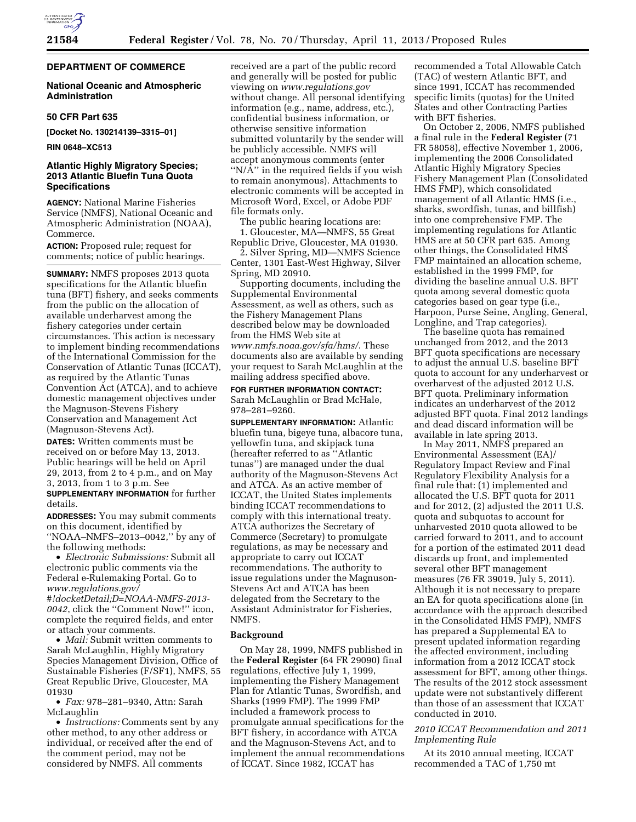

# **DEPARTMENT OF COMMERCE**

### **National Oceanic and Atmospheric Administration**

### **50 CFR Part 635**

**[Docket No. 130214139–3315–01]** 

**RIN 0648–XC513** 

## **Atlantic Highly Migratory Species; 2013 Atlantic Bluefin Tuna Quota Specifications**

**AGENCY:** National Marine Fisheries Service (NMFS), National Oceanic and Atmospheric Administration (NOAA), Commerce.

**ACTION:** Proposed rule; request for comments; notice of public hearings.

**SUMMARY:** NMFS proposes 2013 quota specifications for the Atlantic bluefin tuna (BFT) fishery, and seeks comments from the public on the allocation of available underharvest among the fishery categories under certain circumstances. This action is necessary to implement binding recommendations of the International Commission for the Conservation of Atlantic Tunas (ICCAT), as required by the Atlantic Tunas Convention Act (ATCA), and to achieve domestic management objectives under the Magnuson-Stevens Fishery Conservation and Management Act (Magnuson-Stevens Act).

**DATES:** Written comments must be received on or before May 13, 2013. Public hearings will be held on April 29, 2013, from 2 to 4 p.m., and on May 3, 2013, from 1 to 3 p.m. See **SUPPLEMENTARY INFORMATION** for further details.

**ADDRESSES:** You may submit comments on this document, identified by ''NOAA–NMFS–2013–0042,'' by any of the following methods:

• *Electronic Submissions:* Submit all electronic public comments via the Federal e-Rulemaking Portal. Go to *[www.regulations.gov/](http://www.regulations.gov/#!docketDetail;D=NOAA-NMFS-2013-0042) [#!docketDetail;D=NOAA-NMFS-2013-](http://www.regulations.gov/#!docketDetail;D=NOAA-NMFS-2013-0042) [0042](http://www.regulations.gov/#!docketDetail;D=NOAA-NMFS-2013-0042)*, click the ''Comment Now!'' icon, complete the required fields, and enter or attach your comments.

• *Mail:* Submit written comments to Sarah McLaughlin, Highly Migratory Species Management Division, Office of Sustainable Fisheries (F/SF1), NMFS, 55 Great Republic Drive, Gloucester, MA 01930

• *Fax:* 978–281–9340, Attn: Sarah McLaughlin

• *Instructions:* Comments sent by any other method, to any other address or individual, or received after the end of the comment period, may not be considered by NMFS. All comments

received are a part of the public record and generally will be posted for public viewing on *[www.regulations.gov](http://www.regulations.gov)*  without change. All personal identifying information (e.g., name, address, etc.), confidential business information, or otherwise sensitive information submitted voluntarily by the sender will be publicly accessible. NMFS will accept anonymous comments (enter " $N/\bar{A}$ " in the required fields if you wish to remain anonymous). Attachments to electronic comments will be accepted in Microsoft Word, Excel, or Adobe PDF file formats only.

The public hearing locations are: 1. Gloucester, MA—NMFS, 55 Great Republic Drive, Gloucester, MA 01930.

2. Silver Spring, MD—NMFS Science Center, 1301 East-West Highway, Silver Spring, MD 20910.

Supporting documents, including the Supplemental Environmental Assessment, as well as others, such as the Fishery Management Plans described below may be downloaded from the HMS Web site at *[www.nmfs.noaa.gov/sfa/hms/](http://www.nmfs.noaa.gov/sfa/hms/)*. These documents also are available by sending your request to Sarah McLaughlin at the mailing address specified above.

**FOR FURTHER INFORMATION CONTACT:**  Sarah McLaughlin or Brad McHale, 978–281–9260.

**SUPPLEMENTARY INFORMATION:** Atlantic bluefin tuna, bigeye tuna, albacore tuna, yellowfin tuna, and skipjack tuna (hereafter referred to as ''Atlantic tunas'') are managed under the dual authority of the Magnuson-Stevens Act and ATCA. As an active member of ICCAT, the United States implements binding ICCAT recommendations to comply with this international treaty. ATCA authorizes the Secretary of Commerce (Secretary) to promulgate regulations, as may be necessary and appropriate to carry out ICCAT recommendations. The authority to issue regulations under the Magnuson-Stevens Act and ATCA has been delegated from the Secretary to the Assistant Administrator for Fisheries, NMFS.

#### **Background**

On May 28, 1999, NMFS published in the **Federal Register** (64 FR 29090) final regulations, effective July 1, 1999, implementing the Fishery Management Plan for Atlantic Tunas, Swordfish, and Sharks (1999 FMP). The 1999 FMP included a framework process to promulgate annual specifications for the BFT fishery, in accordance with ATCA and the Magnuson-Stevens Act, and to implement the annual recommendations of ICCAT. Since 1982, ICCAT has

recommended a Total Allowable Catch (TAC) of western Atlantic BFT, and since 1991, ICCAT has recommended specific limits (quotas) for the United States and other Contracting Parties with BFT fisheries.

On October 2, 2006, NMFS published a final rule in the **Federal Register** (71 FR 58058), effective November 1, 2006, implementing the 2006 Consolidated Atlantic Highly Migratory Species Fishery Management Plan (Consolidated HMS FMP), which consolidated management of all Atlantic HMS (i.e., sharks, swordfish, tunas, and billfish) into one comprehensive FMP. The implementing regulations for Atlantic HMS are at 50 CFR part 635. Among other things, the Consolidated HMS FMP maintained an allocation scheme, established in the 1999 FMP, for dividing the baseline annual U.S. BFT quota among several domestic quota categories based on gear type (i.e., Harpoon, Purse Seine, Angling, General, Longline, and Trap categories).

The baseline quota has remained unchanged from 2012, and the 2013 BFT quota specifications are necessary to adjust the annual U.S. baseline BFT quota to account for any underharvest or overharvest of the adjusted 2012 U.S. BFT quota. Preliminary information indicates an underharvest of the 2012 adjusted BFT quota. Final 2012 landings and dead discard information will be available in late spring 2013.

In May 2011, NMFS prepared an Environmental Assessment (EA)/ Regulatory Impact Review and Final Regulatory Flexibility Analysis for a final rule that: (1) implemented and allocated the U.S. BFT quota for 2011 and for 2012, (2) adjusted the 2011 U.S. quota and subquotas to account for unharvested 2010 quota allowed to be carried forward to 2011, and to account for a portion of the estimated 2011 dead discards up front, and implemented several other BFT management measures (76 FR 39019, July 5, 2011). Although it is not necessary to prepare an EA for quota specifications alone (in accordance with the approach described in the Consolidated HMS FMP), NMFS has prepared a Supplemental EA to present updated information regarding the affected environment, including information from a 2012 ICCAT stock assessment for BFT, among other things. The results of the 2012 stock assessment update were not substantively different than those of an assessment that ICCAT conducted in 2010.

## *2010 ICCAT Recommendation and 2011 Implementing Rule*

At its 2010 annual meeting, ICCAT recommended a TAC of 1,750 mt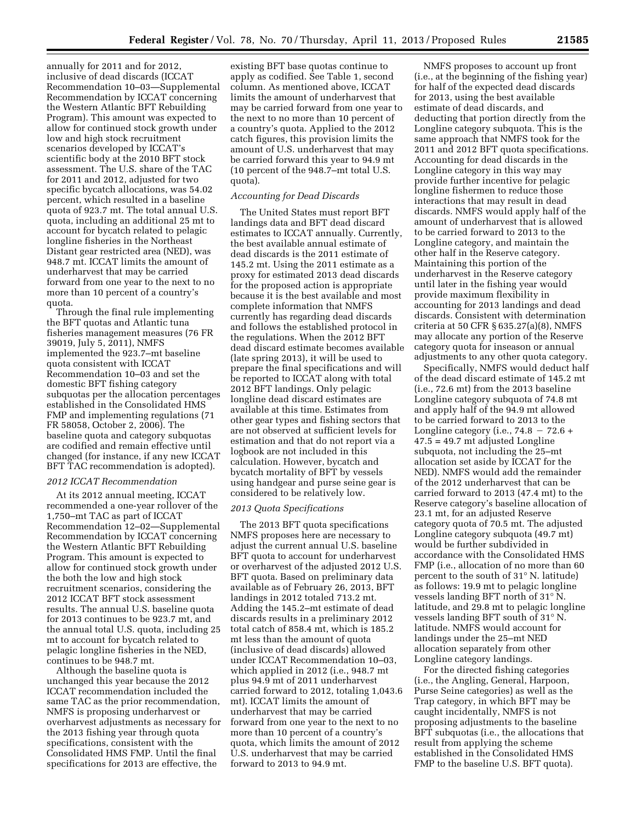annually for 2011 and for 2012, inclusive of dead discards (ICCAT Recommendation 10–03—Supplemental Recommendation by ICCAT concerning the Western Atlantic BFT Rebuilding Program). This amount was expected to allow for continued stock growth under low and high stock recruitment scenarios developed by ICCAT's scientific body at the 2010 BFT stock assessment. The U.S. share of the TAC for 2011 and 2012, adjusted for two specific bycatch allocations, was 54.02 percent, which resulted in a baseline quota of 923.7 mt. The total annual U.S. quota, including an additional 25 mt to account for bycatch related to pelagic longline fisheries in the Northeast Distant gear restricted area (NED), was 948.7 mt. ICCAT limits the amount of underharvest that may be carried forward from one year to the next to no more than 10 percent of a country's quota.

Through the final rule implementing the BFT quotas and Atlantic tuna fisheries management measures (76 FR 39019, July 5, 2011), NMFS implemented the 923.7–mt baseline quota consistent with ICCAT Recommendation 10–03 and set the domestic BFT fishing category subquotas per the allocation percentages established in the Consolidated HMS FMP and implementing regulations (71 FR 58058, October 2, 2006). The baseline quota and category subquotas are codified and remain effective until changed (for instance, if any new ICCAT BFT TAC recommendation is adopted).

### *2012 ICCAT Recommendation*

At its 2012 annual meeting, ICCAT recommended a one-year rollover of the 1,750–mt TAC as part of ICCAT Recommendation 12–02—Supplemental Recommendation by ICCAT concerning the Western Atlantic BFT Rebuilding Program. This amount is expected to allow for continued stock growth under the both the low and high stock recruitment scenarios, considering the 2012 ICCAT BFT stock assessment results. The annual U.S. baseline quota for 2013 continues to be 923.7 mt, and the annual total U.S. quota, including 25 mt to account for bycatch related to pelagic longline fisheries in the NED, continues to be 948.7 mt.

Although the baseline quota is unchanged this year because the 2012 ICCAT recommendation included the same TAC as the prior recommendation, NMFS is proposing underharvest or overharvest adjustments as necessary for the 2013 fishing year through quota specifications, consistent with the Consolidated HMS FMP. Until the final specifications for 2013 are effective, the

existing BFT base quotas continue to apply as codified. See Table 1, second column. As mentioned above, ICCAT limits the amount of underharvest that may be carried forward from one year to the next to no more than 10 percent of a country's quota. Applied to the 2012 catch figures, this provision limits the amount of U.S. underharvest that may be carried forward this year to 94.9 mt (10 percent of the 948.7–mt total U.S. quota).

#### *Accounting for Dead Discards*

The United States must report BFT landings data and BFT dead discard estimates to ICCAT annually. Currently, the best available annual estimate of dead discards is the 2011 estimate of 145.2 mt. Using the 2011 estimate as a proxy for estimated 2013 dead discards for the proposed action is appropriate because it is the best available and most complete information that NMFS currently has regarding dead discards and follows the established protocol in the regulations. When the 2012 BFT dead discard estimate becomes available (late spring 2013), it will be used to prepare the final specifications and will be reported to ICCAT along with total 2012 BFT landings. Only pelagic longline dead discard estimates are available at this time. Estimates from other gear types and fishing sectors that are not observed at sufficient levels for estimation and that do not report via a logbook are not included in this calculation. However, bycatch and bycatch mortality of BFT by vessels using handgear and purse seine gear is considered to be relatively low.

#### *2013 Quota Specifications*

The 2013 BFT quota specifications NMFS proposes here are necessary to adjust the current annual U.S. baseline BFT quota to account for underharvest or overharvest of the adjusted 2012 U.S. BFT quota. Based on preliminary data available as of February 26, 2013, BFT landings in 2012 totaled 713.2 mt. Adding the 145.2–mt estimate of dead discards results in a preliminary 2012 total catch of 858.4 mt, which is 185.2 mt less than the amount of quota (inclusive of dead discards) allowed under ICCAT Recommendation 10–03, which applied in 2012 (i.e., 948.7 mt plus 94.9 mt of 2011 underharvest carried forward to 2012, totaling 1,043.6 mt). ICCAT limits the amount of underharvest that may be carried forward from one year to the next to no more than 10 percent of a country's quota, which limits the amount of 2012 U.S. underharvest that may be carried forward to 2013 to 94.9 mt.

NMFS proposes to account up front (i.e., at the beginning of the fishing year) for half of the expected dead discards for 2013, using the best available estimate of dead discards, and deducting that portion directly from the Longline category subquota. This is the same approach that NMFS took for the 2011 and 2012 BFT quota specifications. Accounting for dead discards in the Longline category in this way may provide further incentive for pelagic longline fishermen to reduce those interactions that may result in dead discards. NMFS would apply half of the amount of underharvest that is allowed to be carried forward to 2013 to the Longline category, and maintain the other half in the Reserve category. Maintaining this portion of the underharvest in the Reserve category until later in the fishing year would provide maximum flexibility in accounting for 2013 landings and dead discards. Consistent with determination criteria at 50 CFR § 635.27(a)(8), NMFS may allocate any portion of the Reserve category quota for inseason or annual adjustments to any other quota category.

Specifically, NMFS would deduct half of the dead discard estimate of 145.2 mt (i.e., 72.6 mt) from the 2013 baseline Longline category subquota of 74.8 mt and apply half of the 94.9 mt allowed to be carried forward to 2013 to the Longline category (i.e.,  $74.8 - 72.6 +$ 47.5 = 49.7 mt adjusted Longline subquota, not including the 25–mt allocation set aside by ICCAT for the NED). NMFS would add the remainder of the 2012 underharvest that can be carried forward to 2013 (47.4 mt) to the Reserve category's baseline allocation of 23.1 mt, for an adjusted Reserve category quota of 70.5 mt. The adjusted Longline category subquota (49.7 mt) would be further subdivided in accordance with the Consolidated HMS FMP (i.e., allocation of no more than 60 percent to the south of 31° N. latitude) as follows: 19.9 mt to pelagic longline vessels landing BFT north of 31° N. latitude, and 29.8 mt to pelagic longline vessels landing BFT south of 31° N. latitude. NMFS would account for landings under the 25–mt NED allocation separately from other Longline category landings.

For the directed fishing categories (i.e., the Angling, General, Harpoon, Purse Seine categories) as well as the Trap category, in which BFT may be caught incidentally, NMFS is not proposing adjustments to the baseline BFT subquotas (i.e., the allocations that result from applying the scheme established in the Consolidated HMS FMP to the baseline U.S. BFT quota).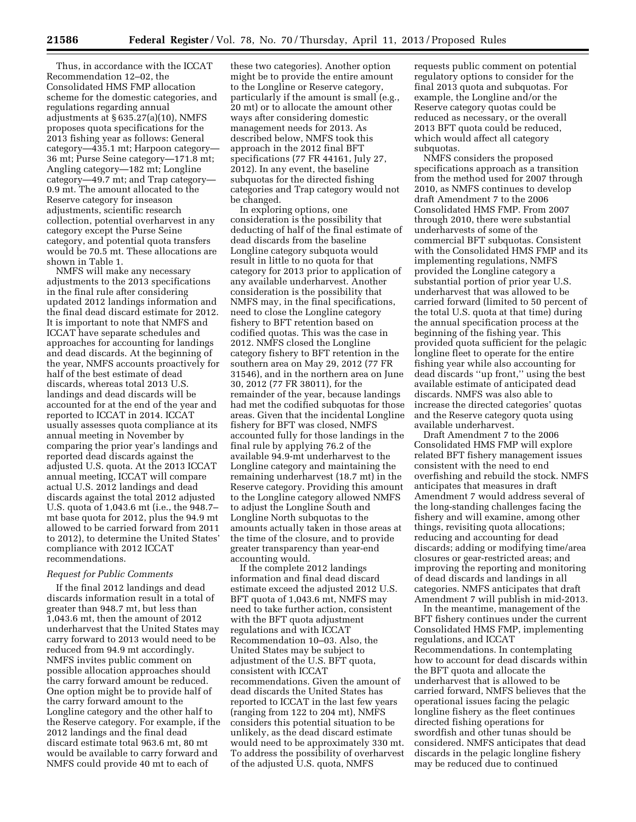Thus, in accordance with the ICCAT Recommendation 12–02, the Consolidated HMS FMP allocation scheme for the domestic categories, and regulations regarding annual adjustments at § 635.27(a)(10), NMFS proposes quota specifications for the 2013 fishing year as follows: General category—435.1 mt; Harpoon category— 36 mt; Purse Seine category—171.8 mt; Angling category—182 mt; Longline category—49.7 mt; and Trap category— 0.9 mt. The amount allocated to the Reserve category for inseason adjustments, scientific research collection, potential overharvest in any category except the Purse Seine category, and potential quota transfers would be 70.5 mt. These allocations are shown in Table 1.

NMFS will make any necessary adjustments to the 2013 specifications in the final rule after considering updated 2012 landings information and the final dead discard estimate for 2012. It is important to note that NMFS and ICCAT have separate schedules and approaches for accounting for landings and dead discards. At the beginning of the year, NMFS accounts proactively for half of the best estimate of dead discards, whereas total 2013 U.S. landings and dead discards will be accounted for at the end of the year and reported to ICCAT in 2014. ICCAT usually assesses quota compliance at its annual meeting in November by comparing the prior year's landings and reported dead discards against the adjusted U.S. quota. At the 2013 ICCAT annual meeting, ICCAT will compare actual U.S. 2012 landings and dead discards against the total 2012 adjusted U.S. quota of 1,043.6 mt (i.e., the 948.7– mt base quota for 2012, plus the 94.9 mt allowed to be carried forward from 2011 to 2012), to determine the United States' compliance with 2012 ICCAT recommendations.

### *Request for Public Comments*

If the final 2012 landings and dead discards information result in a total of greater than 948.7 mt, but less than 1,043.6 mt, then the amount of 2012 underharvest that the United States may carry forward to 2013 would need to be reduced from 94.9 mt accordingly. NMFS invites public comment on possible allocation approaches should the carry forward amount be reduced. One option might be to provide half of the carry forward amount to the Longline category and the other half to the Reserve category. For example, if the 2012 landings and the final dead discard estimate total 963.6 mt, 80 mt would be available to carry forward and NMFS could provide 40 mt to each of

these two categories). Another option might be to provide the entire amount to the Longline or Reserve category, particularly if the amount is small (e.g., 20 mt) or to allocate the amount other ways after considering domestic management needs for 2013. As described below, NMFS took this approach in the 2012 final BFT specifications (77 FR 44161, July 27, 2012). In any event, the baseline subquotas for the directed fishing categories and Trap category would not be changed.

In exploring options, one consideration is the possibility that deducting of half of the final estimate of dead discards from the baseline Longline category subquota would result in little to no quota for that category for 2013 prior to application of any available underharvest. Another consideration is the possibility that NMFS may, in the final specifications, need to close the Longline category fishery to BFT retention based on codified quotas. This was the case in 2012. NMFS closed the Longline category fishery to BFT retention in the southern area on May 29, 2012 (77 FR 31546), and in the northern area on June 30, 2012 (77 FR 38011), for the remainder of the year, because landings had met the codified subquotas for those areas. Given that the incidental Longline fishery for BFT was closed, NMFS accounted fully for those landings in the final rule by applying 76.2 of the available 94.9-mt underharvest to the Longline category and maintaining the remaining underharvest (18.7 mt) in the Reserve category. Providing this amount to the Longline category allowed NMFS to adjust the Longline South and Longline North subquotas to the amounts actually taken in those areas at the time of the closure, and to provide greater transparency than year-end accounting would.

If the complete 2012 landings information and final dead discard estimate exceed the adjusted 2012 U.S. BFT quota of 1,043.6 mt, NMFS may need to take further action, consistent with the BFT quota adjustment regulations and with ICCAT Recommendation 10–03. Also, the United States may be subject to adjustment of the U.S. BFT quota, consistent with ICCAT recommendations. Given the amount of dead discards the United States has reported to ICCAT in the last few years (ranging from 122 to 204 mt), NMFS considers this potential situation to be unlikely, as the dead discard estimate would need to be approximately 330 mt. To address the possibility of overharvest of the adjusted U.S. quota, NMFS

requests public comment on potential regulatory options to consider for the final 2013 quota and subquotas. For example, the Longline and/or the Reserve category quotas could be reduced as necessary, or the overall 2013 BFT quota could be reduced, which would affect all category subquotas.

NMFS considers the proposed specifications approach as a transition from the method used for 2007 through 2010, as NMFS continues to develop draft Amendment 7 to the 2006 Consolidated HMS FMP. From 2007 through 2010, there were substantial underharvests of some of the commercial BFT subquotas. Consistent with the Consolidated HMS FMP and its implementing regulations, NMFS provided the Longline category a substantial portion of prior year U.S. underharvest that was allowed to be carried forward (limited to 50 percent of the total U.S. quota at that time) during the annual specification process at the beginning of the fishing year. This provided quota sufficient for the pelagic longline fleet to operate for the entire fishing year while also accounting for dead discards ''up front,'' using the best available estimate of anticipated dead discards. NMFS was also able to increase the directed categories' quotas and the Reserve category quota using available underharvest.

Draft Amendment 7 to the 2006 Consolidated HMS FMP will explore related BFT fishery management issues consistent with the need to end overfishing and rebuild the stock. NMFS anticipates that measures in draft Amendment 7 would address several of the long-standing challenges facing the fishery and will examine, among other things, revisiting quota allocations; reducing and accounting for dead discards; adding or modifying time/area closures or gear-restricted areas; and improving the reporting and monitoring of dead discards and landings in all categories. NMFS anticipates that draft Amendment 7 will publish in mid-2013.

In the meantime, management of the BFT fishery continues under the current Consolidated HMS FMP, implementing regulations, and ICCAT Recommendations. In contemplating how to account for dead discards within the BFT quota and allocate the underharvest that is allowed to be carried forward, NMFS believes that the operational issues facing the pelagic longline fishery as the fleet continues directed fishing operations for swordfish and other tunas should be considered. NMFS anticipates that dead discards in the pelagic longline fishery may be reduced due to continued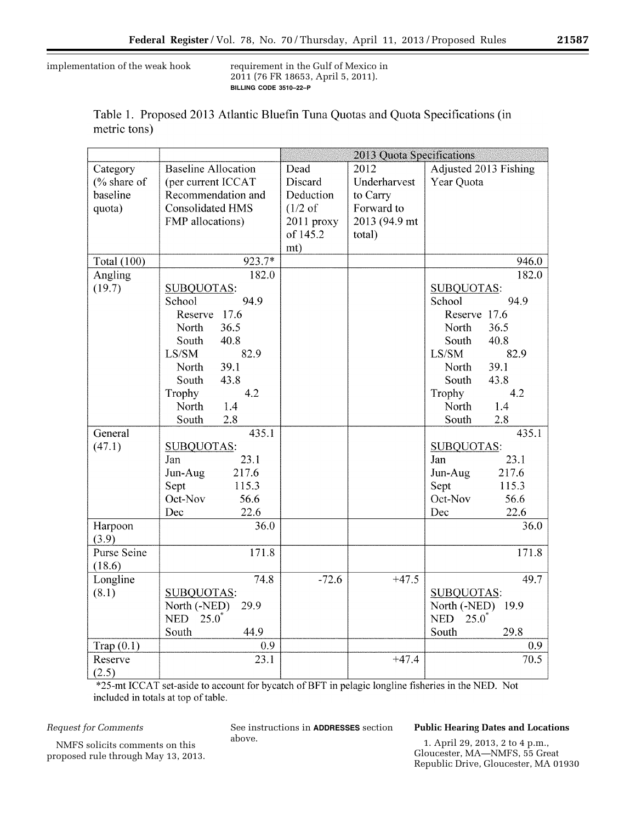implementation of the weak hook requirement in the Gulf of Mexico in

2011 (76 FR 18653, April 5, 2011). **BILLING CODE 3510–22–P** 

|              |  |  |  | Table 1. Proposed 2013 Atlantic Bluefin Tuna Quotas and Quota Specifications (in |  |
|--------------|--|--|--|----------------------------------------------------------------------------------|--|
| metric tons) |  |  |  |                                                                                  |  |

|                    |                            | 2013 Quota Specifications |               |                                |  |  |
|--------------------|----------------------------|---------------------------|---------------|--------------------------------|--|--|
| Category           | <b>Baseline Allocation</b> | Dead                      | 2012          | Adjusted 2013 Fishing          |  |  |
| (% share of        | (per current ICCAT         | Discard                   | Underharvest  | Year Quota                     |  |  |
| baseline           | Recommendation and         | Deduction                 | to Carry      |                                |  |  |
| quota)             | <b>Consolidated HMS</b>    | $(1/2 \text{ of }$        | Forward to    |                                |  |  |
|                    | FMP allocations)           | 2011 proxy                | 2013 (94.9 mt |                                |  |  |
|                    |                            | of 145.2                  | total)        |                                |  |  |
|                    |                            | mt)                       |               |                                |  |  |
| <b>Total</b> (100) | 923.7*                     |                           |               | 946.0                          |  |  |
| Angling            | 182.0                      |                           |               | 182.0                          |  |  |
| (19.7)             | <b>SUBQUOTAS:</b>          |                           |               | <b>SUBQUOTAS:</b>              |  |  |
|                    | 94.9<br>School             |                           |               | 94.9<br>School                 |  |  |
|                    | Reserve 17.6               |                           |               | Reserve 17.6                   |  |  |
|                    | 36.5<br>North              |                           |               | North<br>36.5                  |  |  |
|                    | South<br>40.8              |                           |               | South<br>40.8                  |  |  |
|                    | 82.9<br>LS/SM              |                           |               | LS/SM<br>82.9                  |  |  |
|                    | 39.1<br>North              |                           |               | 39.1<br>North                  |  |  |
|                    | 43.8<br>South              |                           |               | 43.8<br>South                  |  |  |
|                    | Trophy<br>4.2              |                           |               | Trophy<br>4.2                  |  |  |
|                    | North<br>1.4               |                           |               | North<br>1.4                   |  |  |
|                    | 2.8<br>South               |                           |               | 2.8<br>South                   |  |  |
| General            | 435.1                      |                           |               | 435.1                          |  |  |
| (47.1)             | <b>SUBQUOTAS:</b>          |                           |               | SUBQUOTAS:                     |  |  |
|                    | 23.1<br>Jan                |                           |               | 23.1<br>Jan                    |  |  |
|                    | Jun-Aug<br>217.6           |                           |               | Jun-Aug<br>217.6               |  |  |
|                    | Sept<br>115.3              |                           |               | 115.3<br>Sept                  |  |  |
|                    | Oct-Nov<br>56.6            |                           |               | Oct-Nov<br>56.6                |  |  |
|                    | 22.6<br>Dec                |                           |               | 22.6<br>Dec                    |  |  |
| Harpoon<br>(3.9)   | 36.0                       |                           |               | 36.0                           |  |  |
| <b>Purse Seine</b> | 171.8                      |                           |               | 171.8                          |  |  |
| (18.6)             |                            |                           |               |                                |  |  |
| Longline           | 74.8                       | $-72.6$                   | $+47.5$       | 49.7                           |  |  |
| (8.1)              | <b>SUBQUOTAS:</b>          |                           |               | <b>SUBQUOTAS:</b>              |  |  |
|                    | North (-NED)<br>29.9       |                           |               | North (-NED) 19.9              |  |  |
|                    | <b>NED</b><br>$25.0^*$     |                           |               | <b>NED</b><br>$25.0^{\degree}$ |  |  |
|                    | 44.9<br>South              |                           |               | 29.8<br>South                  |  |  |
| Trap $(0.1)$       | 0.9                        |                           |               | 0.9                            |  |  |
| Reserve            | 23.1                       |                           | $+47.4$       | 70.5                           |  |  |
| (2.5)              |                            |                           |               |                                |  |  |

\*25-mt ICCAT set-aside to account for bycatch of BFT in pelagic longline fisheries in the NED. Not included in totals at top of table.

# *Request for Comments*

NMFS solicits comments on this proposed rule through May 13, 2013.

See instructions in **ADDRESSES** section above.

# **Public Hearing Dates and Locations**

1. April 29, 2013, 2 to 4 p.m., Gloucester, MA—NMFS, 55 Great Republic Drive, Gloucester, MA 01930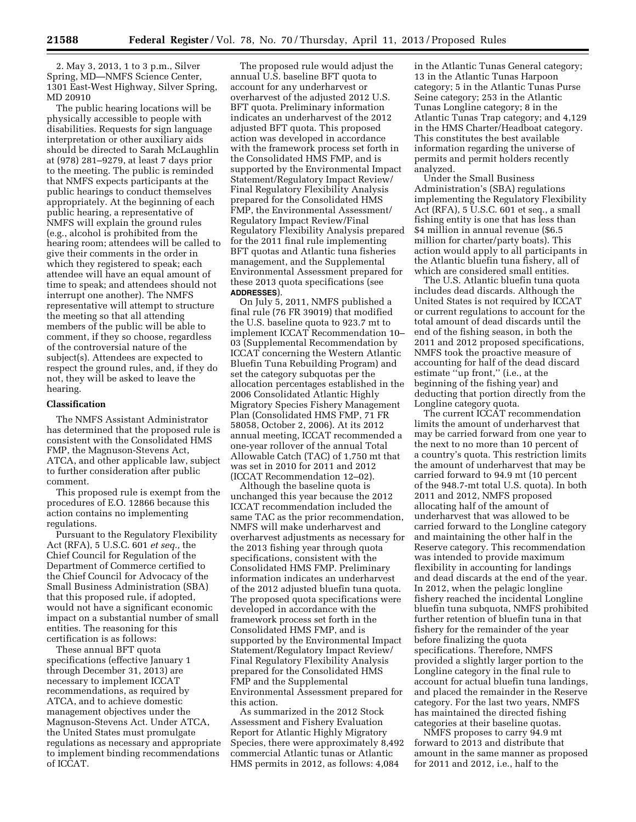2. May 3, 2013, 1 to 3 p.m., Silver Spring, MD—NMFS Science Center, 1301 East-West Highway, Silver Spring, MD 20910

The public hearing locations will be physically accessible to people with disabilities. Requests for sign language interpretation or other auxiliary aids should be directed to Sarah McLaughlin at (978) 281–9279, at least 7 days prior to the meeting. The public is reminded that NMFS expects participants at the public hearings to conduct themselves appropriately. At the beginning of each public hearing, a representative of NMFS will explain the ground rules (e.g., alcohol is prohibited from the hearing room; attendees will be called to give their comments in the order in which they registered to speak; each attendee will have an equal amount of time to speak; and attendees should not interrupt one another). The NMFS representative will attempt to structure the meeting so that all attending members of the public will be able to comment, if they so choose, regardless of the controversial nature of the subject(s). Attendees are expected to respect the ground rules, and, if they do not, they will be asked to leave the hearing.

## **Classification**

The NMFS Assistant Administrator has determined that the proposed rule is consistent with the Consolidated HMS FMP, the Magnuson-Stevens Act, ATCA, and other applicable law, subject to further consideration after public comment.

This proposed rule is exempt from the procedures of E.O. 12866 because this action contains no implementing regulations.

Pursuant to the Regulatory Flexibility Act (RFA), 5 U.S.C. 601 *et seq.,* the Chief Council for Regulation of the Department of Commerce certified to the Chief Council for Advocacy of the Small Business Administration (SBA) that this proposed rule, if adopted, would not have a significant economic impact on a substantial number of small entities. The reasoning for this certification is as follows:

These annual BFT quota specifications (effective January 1 through December 31, 2013) are necessary to implement ICCAT recommendations, as required by ATCA, and to achieve domestic management objectives under the Magnuson-Stevens Act. Under ATCA, the United States must promulgate regulations as necessary and appropriate to implement binding recommendations of ICCAT.

The proposed rule would adjust the annual U.S. baseline BFT quota to account for any underharvest or overharvest of the adjusted 2012 U.S. BFT quota. Preliminary information indicates an underharvest of the 2012 adjusted BFT quota. This proposed action was developed in accordance with the framework process set forth in the Consolidated HMS FMP, and is supported by the Environmental Impact Statement/Regulatory Impact Review/ Final Regulatory Flexibility Analysis prepared for the Consolidated HMS FMP, the Environmental Assessment/ Regulatory Impact Review/Final Regulatory Flexibility Analysis prepared for the 2011 final rule implementing BFT quotas and Atlantic tuna fisheries management, and the Supplemental Environmental Assessment prepared for these 2013 quota specifications (see **ADDRESSES**).

On July 5, 2011, NMFS published a final rule (76 FR 39019) that modified the U.S. baseline quota to 923.7 mt to implement ICCAT Recommendation 10– 03 (Supplemental Recommendation by ICCAT concerning the Western Atlantic Bluefin Tuna Rebuilding Program) and set the category subquotas per the allocation percentages established in the 2006 Consolidated Atlantic Highly Migratory Species Fishery Management Plan (Consolidated HMS FMP, 71 FR 58058, October 2, 2006). At its 2012 annual meeting, ICCAT recommended a one-year rollover of the annual Total Allowable Catch (TAC) of 1,750 mt that was set in 2010 for 2011 and 2012 (ICCAT Recommendation 12–02).

Although the baseline quota is unchanged this year because the 2012 ICCAT recommendation included the same TAC as the prior recommendation, NMFS will make underharvest and overharvest adjustments as necessary for the 2013 fishing year through quota specifications, consistent with the Consolidated HMS FMP. Preliminary information indicates an underharvest of the 2012 adjusted bluefin tuna quota. The proposed quota specifications were developed in accordance with the framework process set forth in the Consolidated HMS FMP, and is supported by the Environmental Impact Statement/Regulatory Impact Review/ Final Regulatory Flexibility Analysis prepared for the Consolidated HMS FMP and the Supplemental Environmental Assessment prepared for this action.

As summarized in the 2012 Stock Assessment and Fishery Evaluation Report for Atlantic Highly Migratory Species, there were approximately 8,492 commercial Atlantic tunas or Atlantic HMS permits in 2012, as follows: 4,084

in the Atlantic Tunas General category; 13 in the Atlantic Tunas Harpoon category; 5 in the Atlantic Tunas Purse Seine category; 253 in the Atlantic Tunas Longline category; 8 in the Atlantic Tunas Trap category; and 4,129 in the HMS Charter/Headboat category. This constitutes the best available information regarding the universe of permits and permit holders recently analyzed.

Under the Small Business Administration's (SBA) regulations implementing the Regulatory Flexibility Act (RFA), 5 U.S.C. 601 et seq., a small fishing entity is one that has less than \$4 million in annual revenue (\$6.5) million for charter/party boats). This action would apply to all participants in the Atlantic bluefin tuna fishery, all of which are considered small entities.

The U.S. Atlantic bluefin tuna quota includes dead discards. Although the United States is not required by ICCAT or current regulations to account for the total amount of dead discards until the end of the fishing season, in both the 2011 and 2012 proposed specifications, NMFS took the proactive measure of accounting for half of the dead discard estimate ''up front,'' (i.e., at the beginning of the fishing year) and deducting that portion directly from the Longline category quota.

The current ICCAT recommendation limits the amount of underharvest that may be carried forward from one year to the next to no more than 10 percent of a country's quota. This restriction limits the amount of underharvest that may be carried forward to 94.9 mt (10 percent of the 948.7-mt total U.S. quota). In both 2011 and 2012, NMFS proposed allocating half of the amount of underharvest that was allowed to be carried forward to the Longline category and maintaining the other half in the Reserve category. This recommendation was intended to provide maximum flexibility in accounting for landings and dead discards at the end of the year. In 2012, when the pelagic longline fishery reached the incidental Longline bluefin tuna subquota, NMFS prohibited further retention of bluefin tuna in that fishery for the remainder of the year before finalizing the quota specifications. Therefore, NMFS provided a slightly larger portion to the Longline category in the final rule to account for actual bluefin tuna landings, and placed the remainder in the Reserve category. For the last two years, NMFS has maintained the directed fishing categories at their baseline quotas.

NMFS proposes to carry 94.9 mt forward to 2013 and distribute that amount in the same manner as proposed for 2011 and 2012, i.e., half to the